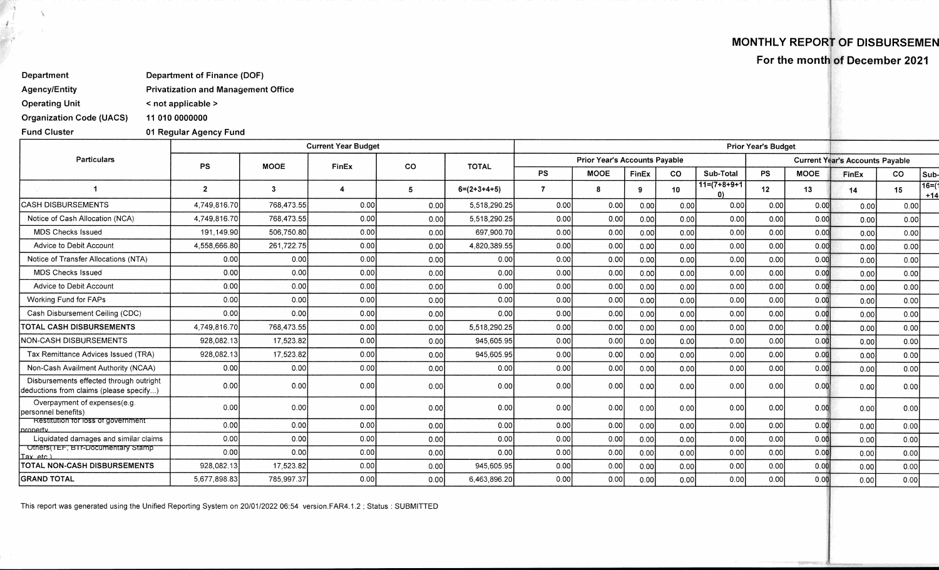## **MONTHLY REPORT OF DISBURSEMEN**

**For the month of December 2021** 

**Department of Finance (DOF)** 

**< not applicable >** 

**01 Regular Agency Fund** 

**Agency/Entity Privatization and Management Office** 

**Operating Unit** 

**Department** 

**Organization Code (UACS) 11 010 0000000** 

**Fund Cluster** 

|                                                                                    |              |                         | <b>Current Year Budget</b> | <b>Prior Year's Budget</b> |               |                |                                      |              |           |                                |           |             |                                        |       |                |
|------------------------------------------------------------------------------------|--------------|-------------------------|----------------------------|----------------------------|---------------|----------------|--------------------------------------|--------------|-----------|--------------------------------|-----------|-------------|----------------------------------------|-------|----------------|
| <b>Particulars</b>                                                                 | <b>PS</b>    | <b>MOOE</b>             |                            |                            | <b>TOTAL</b>  |                | <b>Prior Year's Accounts Payable</b> |              |           |                                |           |             | <b>Current Year's Accounts Payable</b> |       |                |
|                                                                                    |              |                         | FinEx                      | <b>CO</b>                  |               | <b>PS</b>      | <b>MOOE</b>                          | <b>FinEx</b> | <b>CO</b> | Sub-Total                      | <b>PS</b> | <b>MOOE</b> | FinEx                                  | CO    | Sub-           |
|                                                                                    | $2^{\circ}$  | $\overline{\mathbf{3}}$ |                            | 5                          | $6=(2+3+4+5)$ | $\overline{7}$ | я                                    | ۹            | 10        | $11=(7+8+9+1)$<br>$\mathbf{U}$ | 12        | 13          | 14                                     | 15    | 16=(1<br>$+14$ |
| <b>CASH DISBURSEMENTS</b>                                                          | 4,749,816.70 | 768,473.55              | 0.00                       | 0.00                       | 5.518.290.25  | 0.00           | 0.00                                 | 0.00         | 0.00      | 0.00                           | 0.00      | 0.00        | 0.00                                   | 0.00  |                |
| Notice of Cash Allocation (NCA)                                                    | 4,749,816.70 | 768,473.55              | 0.00                       | 0.00                       | 5,518,290.25  | 0.00           | 0.00                                 | 0.00         | 0.00      | 0.00                           | 0.00      | 0.00        | 0.00                                   | 0.00  |                |
| <b>MDS Checks Issued</b>                                                           | 191.149.90   | 506,750.80              | 0.00                       | 0.00                       | 697,900.70    | 0.00           | 0.00                                 | 0.00         | 0.00      | 0.00                           | 0.00      | 0.00        | 0.00                                   | 0.00  |                |
| Advice to Debit Account                                                            | 4,558,666.80 | 261,722.75              | 0.00                       | 0.00                       | 4,820,389.55  | 0.00           | 0.00                                 | 0.00         | 0.00      | 0.00                           | 0.00      | 0.00        | 0.00                                   | 0.00  |                |
| Notice of Transfer Allocations (NTA)                                               | 0.00         | 0.00                    | 0.00                       | 0.00                       | 0.00          | 0.00           | 0.00                                 | 0.00         | 0.00      | 0.00                           | 0.00      | 0.00        | 0.00                                   | 0.00  |                |
| <b>MDS Checks Issued</b>                                                           | 0.00         | 0.00                    | 0.00                       | 0.00                       | 0.00          | 0.00           | 0.00                                 | 0.00         | 0.00      | 0.00                           | 0.00      | 0.00        | 0.00                                   | 0.00  |                |
| Advice to Debit Account                                                            | 0.00         | 0.00                    | 0.00                       | 0.00                       | 0.00          | 0.00           | 0.00                                 | 0.00         | 0.00      | 0.00                           | 0.00      | 0.00        | 0.00                                   | 0.00  |                |
| Working Fund for FAPs                                                              | 0.00         | 0.00                    | 0.00                       | 0.00                       | 0.00          | 0.00           | 0.00                                 | 0.00         | 0.00      | 0.00                           | 0.00      | 0.00        | 0.00                                   | 0.00  |                |
| Cash Disbursement Ceiling (CDC)                                                    | 0.00         | 0.00                    | 0.00                       | 0.00                       | 0.00          | 0.00           | 0.00                                 | 0.00         | 0.00      | 0.00                           | 0.00      | 0.00        | 0.00                                   | 0.00  |                |
| <b>TOTAL CASH DISBURSEMENTS</b>                                                    | 4,749,816.70 | 768,473.55              | 0.00                       | 0.00                       | 5,518,290.25  | 0.00           | 0.00                                 | 0.00         | 0.00      | 0.00                           | 0.00      | 0.00        | 0.00                                   | 0.00  |                |
| NON-CASH DISBURSEMENTS                                                             | 928,082.13   | 17,523.82               | 0.00                       | 0.00                       | 945,605.95    | 0.00           | 0.00                                 | 0.00         | 0.00      | 0.00                           | 0.00      | 0.00        | 0.00                                   | 0.00  |                |
| Tax Remittance Advices Issued (TRA)                                                | 928,082.13   | 17,523.82               | 0.00                       | 0.00                       | 945,605.95    | 0.00           | 0.00                                 | 0.00         | 0.00      | 0.00                           | 0.00      | 0.00        | 0.00                                   | 0.00  |                |
| Non-Cash Availment Authority (NCAA)                                                | 0.00         | 0.00                    | 0.00                       | 0.00                       | 0.00          | 0.00           | 0.00                                 | 0.00         | 0.00      | 0.00                           | 0.00      | 0.00        | 0.00                                   | 0.00  |                |
| Disbursements effected through outright<br>deductions from claims (please specify) | 0.00         | 0.00                    | 0.00                       | 0.00                       | 0.00          | 0.00           | 0.00                                 | 0.00         | 0.00      | 0.00                           | 0.00      | 0.00        | 0.00                                   | 0.00  |                |
| Overpayment of expenses(e.g.<br>personnel benefits)                                | 0.00         | 0.00                    | 0.00                       | 0.00                       | 0.00          | 0.00           | 0.00                                 | 0.00         | 0.00      | 0.00                           | 0.00      | 0.00        | 0.00                                   | 0.00  |                |
| Restitution for loss of government<br>property                                     | 0.00         | 0.00                    | 0.00                       | 0.00                       | 0.00          | 0.00           | 0.00                                 | 0.00         | 0.00      | 0.00                           | 0.00      | 0.00        | 0.00                                   | 0.00  |                |
| Liquidated damages and similar claims                                              | 0.00         | 0.00                    | 0.00                       | 0.00                       | 0.00          | 0.00           | 0.00                                 | 0.00         | 0.00      | 0.00                           | 0.00      | 0.00        | 0.00                                   | 0.00  |                |
| Others(TEF, BTr-Documentary Stamp<br>Tax etc.)                                     | 0.00         | 0.00                    | 0.00                       | 0.00                       | 0.00          | 0.00           | 0.00                                 | 0.00         | 0.00      | 0.00                           | 0.00      | 0.00        | 0.00                                   | 0.00  |                |
| TOTAL NON-CASH DISBURSEMENTS                                                       | 928,082.13   | 17,523.82               | 0.00                       | 0.00                       | 945,605.95    | 0.00           | 0.00                                 | 0.00         | 0.00      | 0.00                           | 0.00      | 0.00        | 0.00                                   | 0.00  |                |
| <b>GRAND TOTAL</b>                                                                 | 5,677,898.83 | 785,997.37              | 0.00                       | 0.00                       | 6,463,896.20  | 0.00           | 0.00                                 | 0.00         | 0.00      | 0.00                           | 0.00      | 0.00        | 0.00                                   | 0.001 |                |

This report was generated using the Unified Reporting System on 20/01/2022 06:54 version.FAR4.1.2; Status: SUBMITTED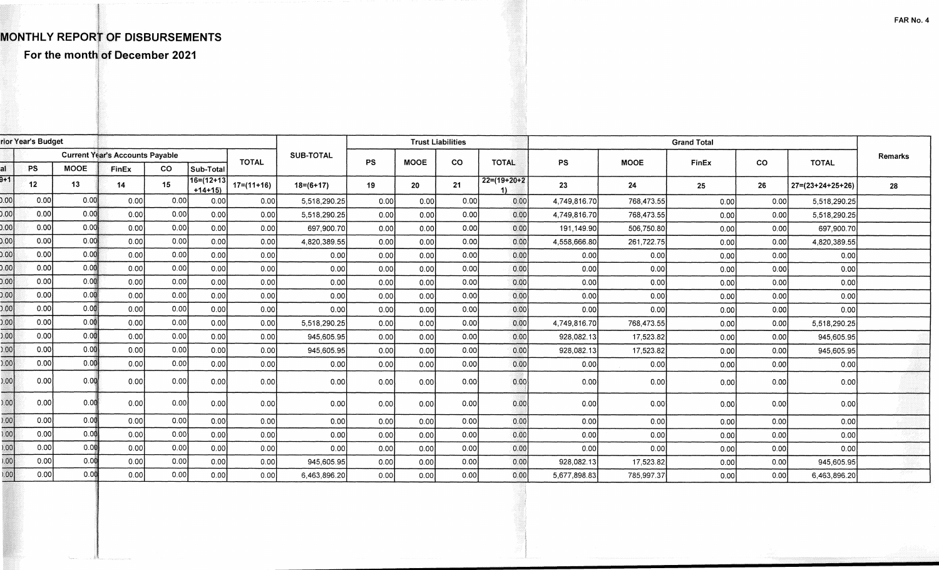## MONTHLY REPORT OF DISBURSEMENTS

For the month of December 2021

|                 | rior Year's Budget                     |             |       | <b>Trust Liabilities</b> |                              |              |                  |           |             |           |                      |                    |             |              |           |                            |         |  |
|-----------------|----------------------------------------|-------------|-------|--------------------------|------------------------------|--------------|------------------|-----------|-------------|-----------|----------------------|--------------------|-------------|--------------|-----------|----------------------------|---------|--|
|                 | <b>Current Year's Accounts Payable</b> |             |       |                          |                              |              |                  |           |             |           |                      | <b>Grand Total</b> |             |              |           |                            |         |  |
|                 | <b>PS</b>                              | <b>MOOE</b> | FinEx | CO.                      | Sub-Total                    | <b>TOTAL</b> | <b>SUB-TOTAL</b> | <b>PS</b> | <b>MOOE</b> | <b>CO</b> | <b>TOTAL</b>         | <b>PS</b>          | <b>MOOE</b> | <b>FinEx</b> | <b>CO</b> | <b>TOTAL</b>               | Remarks |  |
| 3+1             | 12                                     | 13          | 14    | 15                       | $16 = (12 + 13)$<br>$+14+15$ | $17=(11+16)$ | $18 = (6 + 17)$  | 19        | 20          | 21        | $22=(19+20+2)$<br>11 | 23                 | 24          | 25           | 26        | $27 = (23 + 24 + 25 + 26)$ | 28      |  |
| 0.00            | 0.00                                   | 0.00        | 0.00  | 0.00                     | 0.00                         | 0.00         | 5,518,290.25     | 0.00      | 0.00        | 0.00      | 0.00                 | 4.749.816.70       | 768,473.55  | 0.00         | 0.00      | 5,518,290.25               |         |  |
| 0.00            | 0.00                                   | 0.00        | 0.00  | 0.00                     | 0.00                         | 0.00         | 5,518,290.25     | 0.00      | 0.00        | 0.00      | 0.00                 | 4,749,816.70       | 768,473.55  | 0.00         | 0.00      | 5,518,290.25               |         |  |
| 0.00            | 0.00                                   | 0.00        | 0.00  | 0.00                     | 0.00                         | 0.00         | 697,900.70       | 0.00      | 0.00        | 0.00      | 0.00                 | 191.149.90         | 506,750.80  | 0.00         | 0.00      | 697,900.70                 |         |  |
| 0.00            | 0.00                                   | 0.00        | 0.00  | 0.00                     | 0.00                         | 0.00         | 4,820,389.55     | 0.00      | 0.00        | 0.00      | 0.00                 | 4,558,666.80       | 261,722.75  | 0.00         | 0.00      | 4,820,389.55               |         |  |
| 0.00            | 0.00                                   | 0.00        | 0.00  | 0.00                     | 0.00                         | 0.00         | 0.00             | 0.00      | 0.00        | 0.00      | 0.00                 | 0.00               | 0.00        | 0.00         | 0.00      | 0.00                       |         |  |
| 0.00            | 0.00                                   | 0.00        | 0.00  | 0.00                     | 0.00                         | 0.00         | 0.00             | 0.00      | 0.00        | 0.00      | 0.00                 | 0.00               | 0.00        | 0.00         | 0.00      | 0.00                       |         |  |
| 0.00            | 0.00                                   | 0.00        | 0.00  | 0.00                     | 0.00                         | 0.00         | 0.00             | 0.00      | 0.00        | 0.00      | 0.00                 | 0.00               | 0.00        | 0.00         | 0.00      | 0.00                       |         |  |
| 0.00            | 0.00                                   | 0.00        | 0.00  | 0.00                     | 0.00                         | 0.00         | 0.00             | 0.00      | 0.00        | 0.00      | 0.00                 | 0.00               | 0.00        | 0.00         | 0.00      | 0.00                       |         |  |
| 0.00            | 0.00                                   | 0.00        | 0.00  | 0.00                     | 0.00                         | 0.00         | 0.00             | 0.00      | 0.00        | 0.00      | 0.00                 | 0.00               | 0.00        | 0.00         | 0.00      | 0.00                       |         |  |
| 0.00            | 0.00                                   | 0.00        | 0.00  | 0.00                     | 0.00                         | 0.00         | 5,518,290.25     | 0.00      | 0.00        | 0.00      | 0.00                 | 4.749.816.70       | 768,473.55  | 0.00         | 0.00      | 5,518,290.25               |         |  |
| 0.00            | 0.00                                   | 0.00        | 0.00  | 0.00                     | 0.00                         | 0.00         | 945,605.95       | 0.00      | 0.00        | 0.00      | 0.00                 | 928,082.13         | 17,523.82   | 0.00         | 0.00      | 945,605.95                 |         |  |
| 0.00            | 0.00                                   | 0.00        | 0.00  | 0.00                     | 0.00                         | 0.00         | 945,605.95       | 0.00      | 0.00        | 0.00      | 0.00                 | 928,082.13         | 17,523.82   | 0.00         | 0.00      | 945,605.95                 |         |  |
| 0.00            | 0.00                                   | 0.00        | 0.00  | 0.00                     | 0.00                         | 0.00         | 0.00             | 0.00      | 0.00        | 0.00      | 0.00                 | 0.00               | 0.00        | 0.00         | 0.00      | 0.00                       |         |  |
| 0.00            | 0.00                                   | 0.00        | 0.00  | 0.00                     | 0.00                         | 0.00         | 0.00             | 0.00      | 0.00        | 0.00      | 0.00                 | 0.00               | 0.00        | 0.00         | 0.00      | 0.00                       |         |  |
| 0.00            | 0.00                                   | 0.00        | 0.00  | 0.00                     | 0.00                         | 0.00         | 0.00             | 0.00      | 0.00        | 0.00      | 0.00                 | 0.00               | 0.00        | 0.00         | 0.00      | 0.00                       |         |  |
| 0.00            | 0.00                                   | 0.00        | 0.00  | 0.00                     | 0.00                         | 0.00         | 0.00             | 0.00      | 0.00        | 0.00      | 0.00                 | 0.00               | 0.00        | 0.00         | 0.00      | 0.00                       |         |  |
| $\frac{1}{00}$  | 0.00                                   | 0.00        | 0.00  | 0.00                     | 0.00                         | 0.00         | 0.00             | 0.00      | 0.00        | 0.00      | 0.00                 | 0.00               | 0.00        | 0.00         | 0.00      | 0.00                       |         |  |
| 0.001           | 0.00                                   | 0.00        | 0.00  | 0.00                     | 0.00                         | 0.00         | 0.00             | 0.00      | 0.00        | 0.00      | 0.00                 | 0.00               | 0.00        | 0.00         | 0.00      | 0.00                       |         |  |
| $\overline{00}$ | 0.00                                   | 0.00        | 0.00  | 0.00                     | 0.00                         | 0.00         | 945,605.95       | 0.00      | 0.00        | 0.00      | 0.00                 | 928,082.13         | 17,523.82   | 0.00         | 0.00      | 945,605.95                 |         |  |
| .00             | 0.00                                   | 0.00        | 0.00  | 0.00                     | 0.00                         | 0.00         | 6,463,896.20     | 0.001     | 0.00        | 0.00      | 0.00                 | 5,677,898.83       | 785,997.37  | 0.00         | 0.00      | 6,463,896.20               |         |  |
|                 |                                        |             |       |                          |                              |              |                  |           |             |           |                      |                    |             |              |           |                            |         |  |